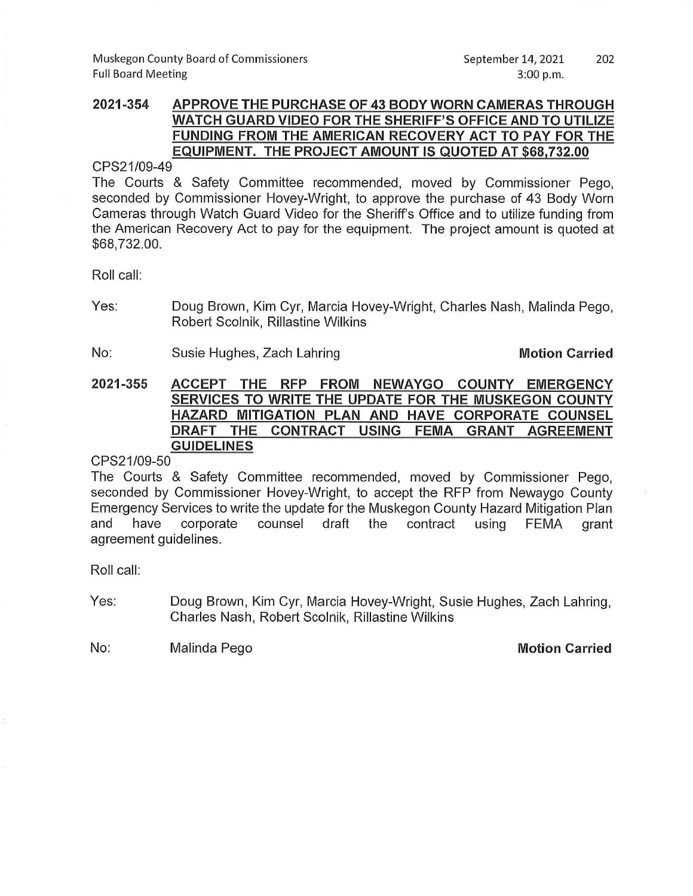## 2021-354 APPROVE THE PURCHASE OF 43 BODY WORN CAMERAS THROUGH WATCH GUARD VIDEO FOR THE SHERIFF'S OFFICE AND TO UTILIZE FUNDING FROM THE AMERICAN RECOVERY ACT TO PAY FOR THE EQUIPMENT. THE PROJECT AMOUNT IS QUOTED AT \$68,732.00

CPS21/09-49

The Courts & Safety Committee recommended, moved by Commissioner Pego, seconded by Commissioner Hovey-Wright, to approve the purchase of 43 Body Worn Cameras through Watch Guard Video for the Sheriff's Office and to utilize funding from the American Recovery Act to pay for the equipment. The project amount is quoted at \$68,732.00.

Roll call:

- Yes: Doug Brown, Kim Cyr, Marcia Hovey-Wright, Charles Nash, Malinda Pego, Robert Scolnik, Rillastine Wilkins
- No: Susie Hughes, Zach Lahring

**Motion Carried** 

2021-355 ACCEPT THE RFP FROM NEWAYGO COUNTY EMERGENCY SERVICES TO WRITE THE UPDATE FOR THE MUSKEGON COUNTY HAZARD MITIGATION PLAN AND HAVE CORPORATE COUNSEL DRAFT THE CONTRACT USING FEMA GRANT **AGREEMENT GUIDELINES** 

CPS21/09-50

The Courts & Safety Committee recommended, moved by Commissioner Pego, seconded by Commissioner Hovey-Wright, to accept the RFP from Newaygo County Emergency Services to write the update for the Muskegon County Hazard Mitigation Plan and have corporate counsel draft the contract using **FEMA** grant agreement guidelines.

Roll call:

Yes: Doug Brown, Kim Cyr, Marcia Hovey-Wright, Susie Hughes, Zach Lahring, Charles Nash, Robert Scolnik, Rillastine Wilkins

No: Malinda Pego **Motion Carried**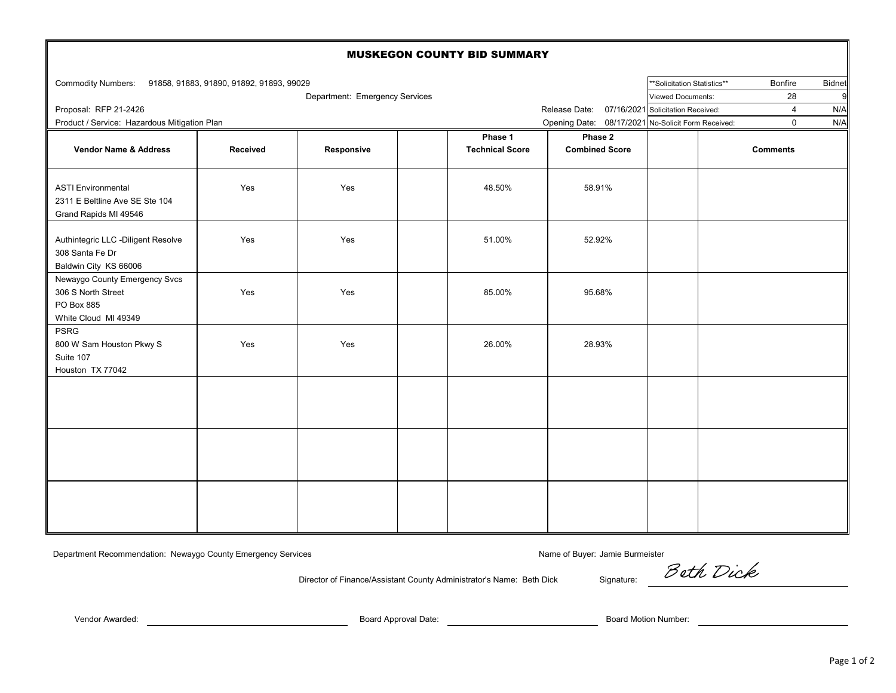| <b>MUSKEGON COUNTY BID SUMMARY</b>                                                        |                                                 |            |  |                        |                                                    |  |                          |                 |               |  |  |  |  |
|-------------------------------------------------------------------------------------------|-------------------------------------------------|------------|--|------------------------|----------------------------------------------------|--|--------------------------|-----------------|---------------|--|--|--|--|
| Commodity Numbers: 91858, 91883, 91890, 91892, 91893, 99029                               |                                                 |            |  |                        |                                                    |  |                          | Bonfire         | <b>Bidnet</b> |  |  |  |  |
| Department: Emergency Services                                                            |                                                 |            |  |                        |                                                    |  | <b>Viewed Documents:</b> | 28              | 9             |  |  |  |  |
| Proposal: RFP 21-2426                                                                     | Release Date: 07/16/2021 Solicitation Received: |            |  | $\overline{4}$         | N/A                                                |  |                          |                 |               |  |  |  |  |
| Product / Service: Hazardous Mitigation Plan                                              |                                                 |            |  |                        | Opening Date: 08/17/2021 No-Solicit Form Received: |  |                          | $\mathbf 0$     | N/A           |  |  |  |  |
|                                                                                           |                                                 |            |  | Phase 1                | Phase 2                                            |  |                          |                 |               |  |  |  |  |
| Vendor Name & Address                                                                     | Received                                        | Responsive |  | <b>Technical Score</b> | <b>Combined Score</b>                              |  |                          | <b>Comments</b> |               |  |  |  |  |
| <b>ASTI Environmental</b><br>2311 E Beltline Ave SE Ste 104<br>Grand Rapids MI 49546      | Yes                                             | Yes        |  | 48.50%                 | 58.91%                                             |  |                          |                 |               |  |  |  |  |
| Authintegric LLC -Diligent Resolve<br>308 Santa Fe Dr<br>Baldwin City KS 66006            | Yes                                             | Yes        |  | 51.00%                 | 52.92%                                             |  |                          |                 |               |  |  |  |  |
| Newaygo County Emergency Svcs<br>306 S North Street<br>PO Box 885<br>White Cloud MI 49349 | Yes                                             | Yes        |  | 85.00%                 | 95.68%                                             |  |                          |                 |               |  |  |  |  |
| <b>PSRG</b><br>800 W Sam Houston Pkwy S<br>Suite 107<br>Houston TX 77042                  | Yes                                             | Yes        |  | 26.00%                 | 28.93%                                             |  |                          |                 |               |  |  |  |  |
|                                                                                           |                                                 |            |  |                        |                                                    |  |                          |                 |               |  |  |  |  |
|                                                                                           |                                                 |            |  |                        |                                                    |  |                          |                 |               |  |  |  |  |
|                                                                                           |                                                 |            |  |                        |                                                    |  |                          |                 |               |  |  |  |  |

Department Recommendation: Newaygo County Emergency Services Name of Buyer: Jamie Burmeister Name of Buyer: Jamie Burmeister

Director of Finance/Assistant County Administrator's Name: Beth Dick Signature:

Beth Dick

Vendor Awarded: Board Approval Date: Board Motion Number: